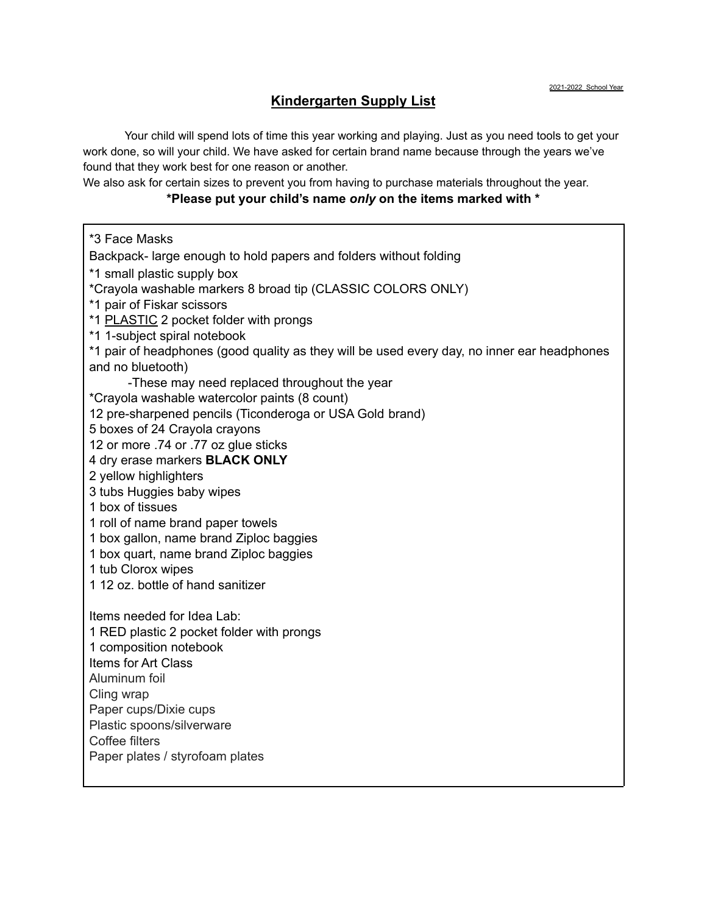## **Kindergarten Supply List**

Your child will spend lots of time this year working and playing. Just as you need tools to get your work done, so will your child. We have asked for certain brand name because through the years we've found that they work best for one reason or another.

We also ask for certain sizes to prevent you from having to purchase materials throughout the year.

## **\*Please put your child's name** *only* **on the items marked with \***

\*3 Face Masks Backpack- large enough to hold papers and folders without folding \*1 small plastic supply box \*Crayola washable markers 8 broad tip (CLASSIC COLORS ONLY) \*1 pair of Fiskar scissors \*1 PLASTIC 2 pocket folder with prongs \*1 1-subject spiral notebook \*1 pair of headphones (good quality as they will be used every day, no inner ear headphones and no bluetooth) -These may need replaced throughout the year \*Crayola washable watercolor paints (8 count) 12 pre-sharpened pencils (Ticonderoga or USA Gold brand) 5 boxes of 24 Crayola crayons 12 or more .74 or .77 oz glue sticks 4 dry erase markers **BLACK ONLY** 2 yellow highlighters 3 tubs Huggies baby wipes 1 box of tissues 1 roll of name brand paper towels 1 box gallon, name brand Ziploc baggies 1 box quart, name brand Ziploc baggies 1 tub Clorox wipes 1 12 oz. bottle of hand sanitizer Items needed for Idea Lab: 1 RED plastic 2 pocket folder with prongs 1 composition notebook Items for Art Class Aluminum foil Cling wrap Paper cups/Dixie cups Plastic spoons/silverware Coffee filters Paper plates / styrofoam plates